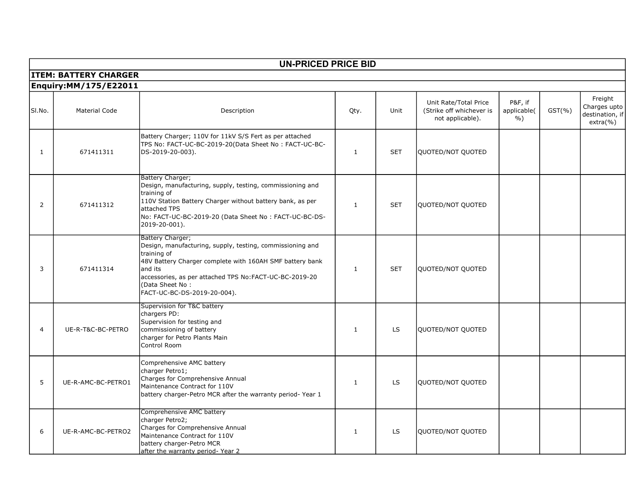| <b>UN-PRICED PRICE BID</b>   |                              |                                                                                                                                                                                                                                                                                  |              |            |                                                                       |                                         |            |                                                           |  |
|------------------------------|------------------------------|----------------------------------------------------------------------------------------------------------------------------------------------------------------------------------------------------------------------------------------------------------------------------------|--------------|------------|-----------------------------------------------------------------------|-----------------------------------------|------------|-----------------------------------------------------------|--|
| <b>ITEM: BATTERY CHARGER</b> |                              |                                                                                                                                                                                                                                                                                  |              |            |                                                                       |                                         |            |                                                           |  |
|                              | <b>Enquiry:MM/175/E22011</b> |                                                                                                                                                                                                                                                                                  |              |            |                                                                       |                                         |            |                                                           |  |
| SI.No.                       | <b>Material Code</b>         | Description                                                                                                                                                                                                                                                                      | Qty.         | Unit       | Unit Rate/Total Price<br>(Strike off whichever is<br>not applicable). | P&F, if<br>applicable(<br>$\frac{9}{6}$ | $GST(\% )$ | Freight<br>Charges upto<br>destination, if<br>$extra(\%)$ |  |
| 1                            | 671411311                    | Battery Charger; 110V for 11kV S/S Fert as per attached<br>TPS No: FACT-UC-BC-2019-20(Data Sheet No: FACT-UC-BC-<br>DS-2019-20-003).                                                                                                                                             | $\mathbf{1}$ | <b>SET</b> | QUOTED/NOT QUOTED                                                     |                                         |            |                                                           |  |
| 2                            | 671411312                    | Battery Charger;<br>Design, manufacturing, supply, testing, commissioning and<br>training of<br>110V Station Battery Charger without battery bank, as per<br>lattached TPS<br>No: FACT-UC-BC-2019-20 (Data Sheet No: FACT-UC-BC-DS-<br>2019-20-001).                             | $\mathbf{1}$ | <b>SET</b> | QUOTED/NOT QUOTED                                                     |                                         |            |                                                           |  |
| 3                            | 671411314                    | Battery Charger;<br>Design, manufacturing, supply, testing, commissioning and<br>training of<br>48V Battery Charger complete with 160AH SMF battery bank<br>land its<br>accessories, as per attached TPS No:FACT-UC-BC-2019-20<br>(Data Sheet No:<br>FACT-UC-BC-DS-2019-20-004). | $\mathbf{1}$ | <b>SET</b> | QUOTED/NOT QUOTED                                                     |                                         |            |                                                           |  |
| $\overline{4}$               | UE-R-T&C-BC-PETRO            | Supervision for T&C battery<br>chargers PD:<br>Supervision for testing and<br>commissioning of battery<br>charger for Petro Plants Main<br>Control Room                                                                                                                          | $\mathbf{1}$ | LS         | QUOTED/NOT QUOTED                                                     |                                         |            |                                                           |  |
| 5                            | UE-R-AMC-BC-PETRO1           | Comprehensive AMC battery<br>charger Petro1;<br>Charges for Comprehensive Annual<br>Maintenance Contract for 110V<br>battery charger-Petro MCR after the warranty period-Year 1                                                                                                  | $\mathbf{1}$ | LS         | QUOTED/NOT QUOTED                                                     |                                         |            |                                                           |  |
| 6                            | UE-R-AMC-BC-PETRO2           | Comprehensive AMC battery<br>charger Petro2;<br>Charges for Comprehensive Annual<br>Maintenance Contract for 110V<br>battery charger-Petro MCR<br>lafter the warranty period-Year 2                                                                                              | $\mathbf{1}$ | <b>LS</b>  | QUOTED/NOT QUOTED                                                     |                                         |            |                                                           |  |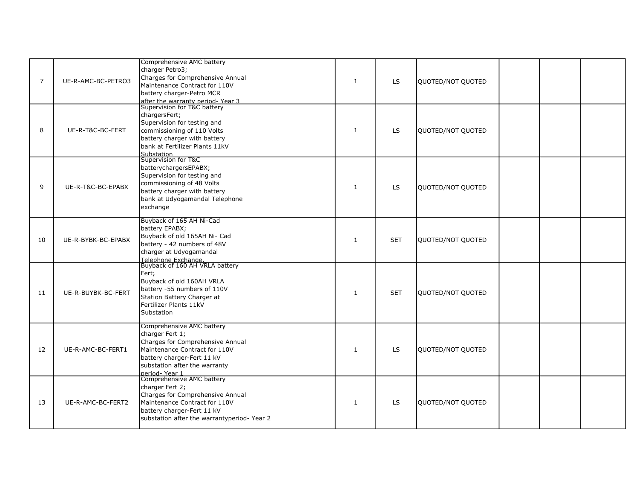| $\overline{7}$ | UE-R-AMC-BC-PETRO3 | Comprehensive AMC battery<br>charger Petro3;<br>Charges for Comprehensive Annual<br>Maintenance Contract for 110V<br>battery charger-Petro MCR<br>after the warranty period-Year 3<br>Supervision for T&C battery | $\mathbf{1}$ | <b>LS</b>  | QUOTED/NOT QUOTED |  |  |
|----------------|--------------------|-------------------------------------------------------------------------------------------------------------------------------------------------------------------------------------------------------------------|--------------|------------|-------------------|--|--|
| 8              | UE-R-T&C-BC-FERT   | chargersFert;<br>Supervision for testing and<br>commissioning of 110 Volts<br>battery charger with battery<br>bank at Fertilizer Plants 11kV<br>Substation                                                        | $\mathbf{1}$ | <b>LS</b>  | QUOTED/NOT QUOTED |  |  |
| 9              | UE-R-T&C-BC-EPABX  | Supervision for T&C<br>batterychargersEPABX;<br>Supervision for testing and<br>commissioning of 48 Volts<br>battery charger with battery<br>bank at Udyogamandal Telephone<br>exchange                            | $\mathbf{1}$ | <b>LS</b>  | QUOTED/NOT QUOTED |  |  |
| 10             | UE-R-BYBK-BC-EPABX | Buyback of 165 AH Ni-Cad<br>battery EPABX;<br>Buyback of old 165AH Ni- Cad<br>battery - 42 numbers of 48V<br>charger at Udyogamandal                                                                              | 1            | <b>SET</b> | QUOTED/NOT QUOTED |  |  |
| 11             | UE-R-BUYBK-BC-FERT | Telephone Exchange.<br>Buyback of 160 AH VRLA battery<br>Fert;<br>Buyback of old 160AH VRLA<br>battery -55 numbers of 110V<br>Station Battery Charger at<br>Fertilizer Plants 11kV<br>Substation                  | $\mathbf{1}$ | <b>SET</b> | QUOTED/NOT QUOTED |  |  |
| 12             | UE-R-AMC-BC-FERT1  | Comprehensive AMC battery<br>charger Fert 1;<br>Charges for Comprehensive Annual<br>Maintenance Contract for 110V<br>battery charger-Fert 11 kV<br>substation after the warranty<br>period-Year 1                 | 1            | <b>LS</b>  | QUOTED/NOT QUOTED |  |  |
| 13             | UE-R-AMC-BC-FERT2  | Comprehensive AMC battery<br>charger Fert 2;<br>Charges for Comprehensive Annual<br>Maintenance Contract for 110V<br>battery charger-Fert 11 kV<br>substation after the warrantyperiod-Year 2                     | $\mathbf{1}$ | <b>LS</b>  | QUOTED/NOT QUOTED |  |  |